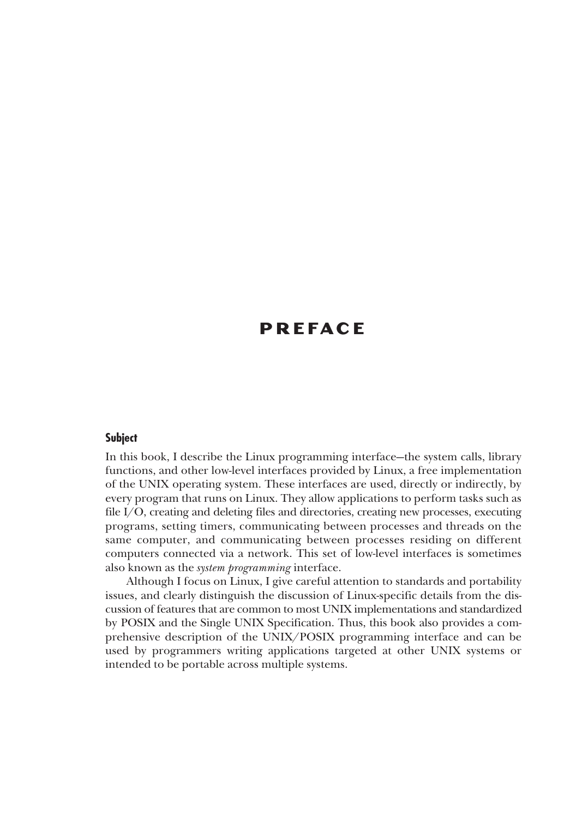# **PREFACE**

### **Subject**

In this book, I describe the Linux programming interface—the system calls, library functions, and other low-level interfaces provided by Linux, a free implementation of the UNIX operating system. These interfaces are used, directly or indirectly, by every program that runs on Linux. They allow applications to perform tasks such as file I/O, creating and deleting files and directories, creating new processes, executing programs, setting timers, communicating between processes and threads on the same computer, and communicating between processes residing on different computers connected via a network. This set of low-level interfaces is sometimes also known as the system programming interface.

Although I focus on Linux, I give careful attention to standards and portability issues, and clearly distinguish the discussion of Linux-specific details from the discussion of features that are common to most UNIX implementations and standardized by POSIX and the Single UNIX Specification. Thus, this book also provides a comprehensive description of the UNIX/POSIX programming interface and can be used by programmers writing applications targeted at other UNIX systems or intended to be portable across multiple systems.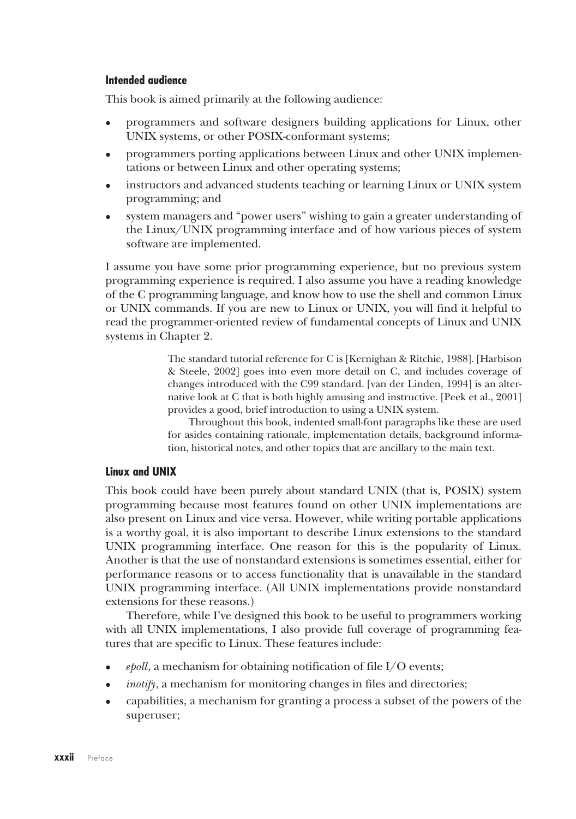## **Intended audience**

This book is aimed primarily at the following audience:

- $\bullet$  programmers and software designers building applications for Linux, other UNIX systems, or other POSIX-conformant systems;
- $\bullet$  programmers porting applications between Linux and other UNIX implementations or between Linux and other operating systems;
- $\bullet$  instructors and advanced students teaching or learning Linux or UNIX system programming; and
- $\bullet$  system managers and "power users" wishing to gain a greater understanding of the Linux/UNIX programming interface and of how various pieces of system software are implemented.

I assume you have some prior programming experience, but no previous system programming experience is required. I also assume you have a reading knowledge of the C programming language, and know how to use the shell and common Linux or UNIX commands. If you are new to Linux or UNIX, you will find it helpful to read the programmer-oriented review of fundamental concepts of Linux and UNIX systems in Chapter 2.

> The standard tutorial reference for C is [Kernighan & Ritchie, 1988]. [Harbison & Steele, 2002] goes into even more detail on C, and includes coverage of changes introduced with the C99 standard. [van der Linden, 1994] is an alternative look at C that is both highly amusing and instructive. [Peek et al., 2001] provides a good, brief introduction to using a UNIX system.

> Throughout this book, indented small-font paragraphs like these are used for asides containing rationale, implementation details, background information, historical notes, and other topics that are ancillary to the main text.

## **Linux and UNIX**

This book could have been purely about standard UNIX (that is, POSIX) system programming because most features found on other UNIX implementations are also present on Linux and vice versa. However, while writing portable applications is a worthy goal, it is also important to describe Linux extensions to the standard UNIX programming interface. One reason for this is the popularity of Linux. Another is that the use of nonstandard extensions is sometimes essential, either for performance reasons or to access functionality that is unavailable in the standard UNIX programming interface. (All UNIX implementations provide nonstandard extensions for these reasons.)

Therefore, while I've designed this book to be useful to programmers working with all UNIX implementations, I also provide full coverage of programming features that are specific to Linux. These features include:

- $\bullet$ epoll, a mechanism for obtaining notification of file I/O events;
- $\bullet$ inotify, a mechanism for monitoring changes in files and directories;
- $\bullet$  capabilities, a mechanism for granting a process a subset of the powers of the superuser;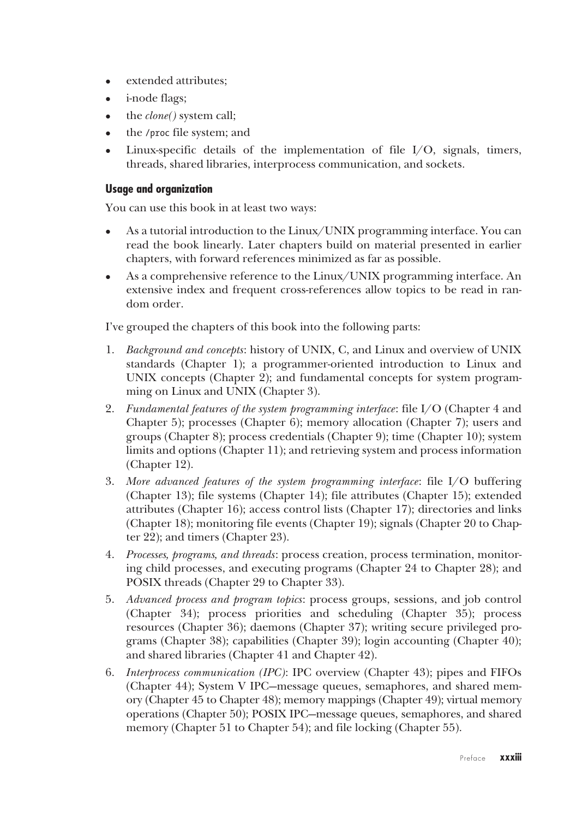- $\bullet$ extended attributes;
- $\bullet$ i-node flags;
- $\bullet$ the clone() system call;
- $\bullet$ the /proc file system; and
- $\bullet$  Linux-specific details of the implementation of file I/O, signals, timers, threads, shared libraries, interprocess communication, and sockets.

# **Usage and organization**

You can use this book in at least two ways:

- $\bullet$  As a tutorial introduction to the Linux/UNIX programming interface. You can read the book linearly. Later chapters build on material presented in earlier chapters, with forward references minimized as far as possible.
- $\bullet$  As a comprehensive reference to the Linux/UNIX programming interface. An extensive index and frequent cross-references allow topics to be read in random order.

I've grouped the chapters of this book into the following parts:

- 1. Background and concepts: history of UNIX, C, and Linux and overview of UNIX standards (Chapter 1); a programmer-oriented introduction to Linux and UNIX concepts (Chapter 2); and fundamental concepts for system programming on Linux and UNIX (Chapter 3).
- 2. Fundamental features of the system programming interface: file I/O (Chapter 4 and Chapter 5); processes (Chapter 6); memory allocation (Chapter 7); users and groups (Chapter 8); process credentials (Chapter 9); time (Chapter 10); system limits and options (Chapter 11); and retrieving system and process information (Chapter 12).
- 3. More advanced features of the system programming interface: file I/O buffering (Chapter 13); file systems (Chapter 14); file attributes (Chapter 15); extended attributes (Chapter 16); access control lists (Chapter 17); directories and links (Chapter 18); monitoring file events (Chapter 19); signals (Chapter 20 to Chapter 22); and timers (Chapter 23).
- 4. Processes, programs, and threads: process creation, process termination, monitoring child processes, and executing programs (Chapter 24 to Chapter 28); and POSIX threads (Chapter 29 to Chapter 33).
- 5. Advanced process and program topics: process groups, sessions, and job control (Chapter 34); process priorities and scheduling (Chapter 35); process resources (Chapter 36); daemons (Chapter 37); writing secure privileged programs (Chapter 38); capabilities (Chapter 39); login accounting (Chapter 40); and shared libraries (Chapter 41 and Chapter 42).
- 6. Interprocess communication (IPC): IPC overview (Chapter 43); pipes and FIFOs (Chapter 44); System V IPC—message queues, semaphores, and shared memory (Chapter 45 to Chapter 48); memory mappings (Chapter 49); virtual memory operations (Chapter 50); POSIX IPC—message queues, semaphores, and shared memory (Chapter 51 to Chapter 54); and file locking (Chapter 55).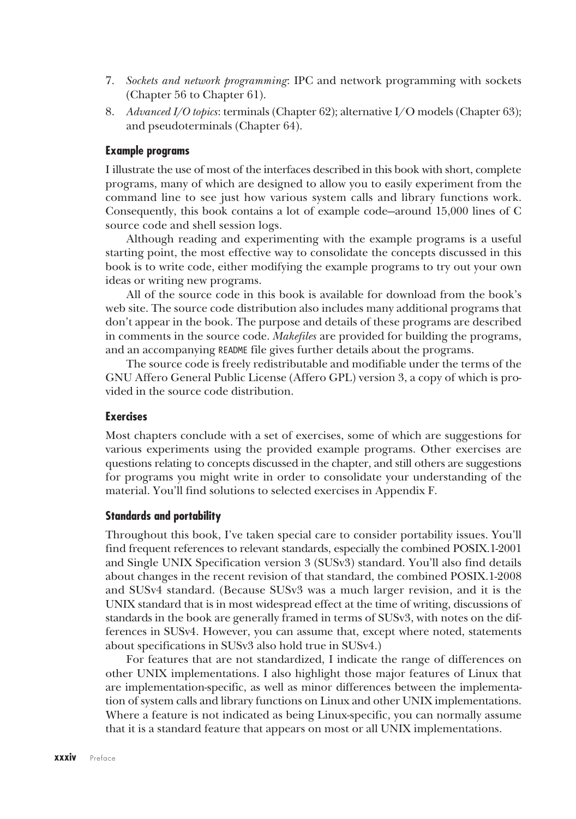- 7. Sockets and network programming: IPC and network programming with sockets (Chapter 56 to Chapter 61).
- 8. Advanced I/O topics: terminals (Chapter 62); alternative I/O models (Chapter 63); and pseudoterminals (Chapter 64).

### **Example programs**

I illustrate the use of most of the interfaces described in this book with short, complete programs, many of which are designed to allow you to easily experiment from the command line to see just how various system calls and library functions work. Consequently, this book contains a lot of example code—around 15,000 lines of C source code and shell session logs.

Although reading and experimenting with the example programs is a useful starting point, the most effective way to consolidate the concepts discussed in this book is to write code, either modifying the example programs to try out your own ideas or writing new programs.

All of the source code in this book is available for download from the book's web site. The source code distribution also includes many additional programs that don't appear in the book. The purpose and details of these programs are described in comments in the source code. Makefiles are provided for building the programs, and an accompanying README file gives further details about the programs.

The source code is freely redistributable and modifiable under the terms of the GNU Affero General Public License (Affero GPL) version 3, a copy of which is provided in the source code distribution.

## **Exercises**

Most chapters conclude with a set of exercises, some of which are suggestions for various experiments using the provided example programs. Other exercises are questions relating to concepts discussed in the chapter, and still others are suggestions for programs you might write in order to consolidate your understanding of the material. You'll find solutions to selected exercises in Appendix F.

### **Standards and portability**

Throughout this book, I've taken special care to consider portability issues. You'll find frequent references to relevant standards, especially the combined POSIX.1-2001 and Single UNIX Specification version 3 (SUSv3) standard. You'll also find details about changes in the recent revision of that standard, the combined POSIX.1-2008 and SUSv4 standard. (Because SUSv3 was a much larger revision, and it is the UNIX standard that is in most widespread effect at the time of writing, discussions of standards in the book are generally framed in terms of SUSv3, with notes on the differences in SUSv4. However, you can assume that, except where noted, statements about specifications in SUSv3 also hold true in SUSv4.)

For features that are not standardized, I indicate the range of differences on other UNIX implementations. I also highlight those major features of Linux that are implementation-specific, as well as minor differences between the implementation of system calls and library functions on Linux and other UNIX implementations. Where a feature is not indicated as being Linux-specific, you can normally assume that it is a standard feature that appears on most or all UNIX implementations.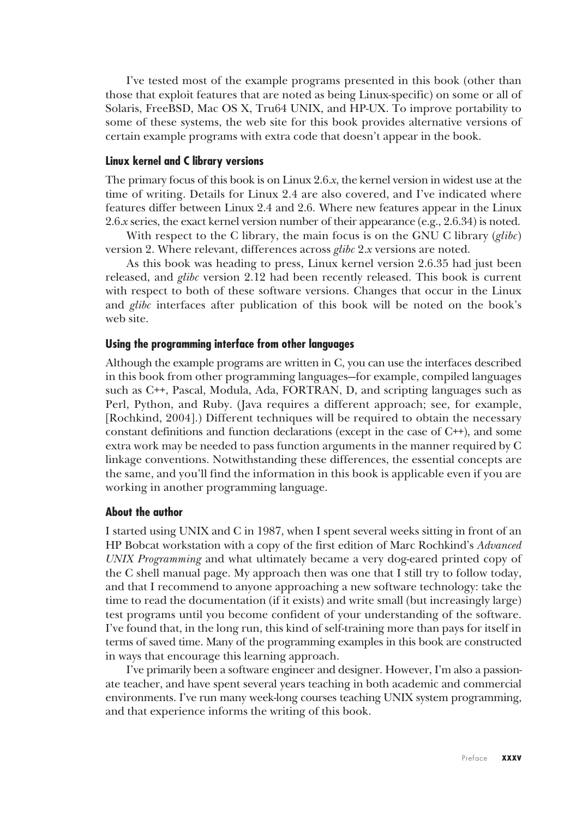I've tested most of the example programs presented in this book (other than those that exploit features that are noted as being Linux-specific) on some or all of Solaris, FreeBSD, Mac OS X, Tru64 UNIX, and HP-UX. To improve portability to some of these systems, the web site for this book provides alternative versions of certain example programs with extra code that doesn't appear in the book.

# **Linux kernel and C library versions**

The primary focus of this book is on Linux 2.6.x, the kernel version in widest use at the time of writing. Details for Linux 2.4 are also covered, and I've indicated where features differ between Linux 2.4 and 2.6. Where new features appear in the Linux 2.6.x series, the exact kernel version number of their appearance (e.g., 2.6.34) is noted.

With respect to the C library, the main focus is on the GNU C library  $\left(\text{glibe}\right)$ version 2. Where relevant, differences across glibc 2.x versions are noted.

As this book was heading to press, Linux kernel version 2.6.35 had just been released, and glibc version 2.12 had been recently released. This book is current with respect to both of these software versions. Changes that occur in the Linux and glibc interfaces after publication of this book will be noted on the book's web site.

# **Using the programming interface from other languages**

Although the example programs are written in C, you can use the interfaces described in this book from other programming languages—for example, compiled languages such as C++, Pascal, Modula, Ada, FORTRAN, D, and scripting languages such as Perl, Python, and Ruby. (Java requires a different approach; see, for example, [Rochkind, 2004].) Different techniques will be required to obtain the necessary constant definitions and function declarations (except in the case of C++), and some extra work may be needed to pass function arguments in the manner required by C linkage conventions. Notwithstanding these differences, the essential concepts are the same, and you'll find the information in this book is applicable even if you are working in another programming language.

### **About the author**

I started using UNIX and C in 1987, when I spent several weeks sitting in front of an HP Bobcat workstation with a copy of the first edition of Marc Rochkind's Advanced UNIX Programming and what ultimately became a very dog-eared printed copy of the C shell manual page. My approach then was one that I still try to follow today, and that I recommend to anyone approaching a new software technology: take the time to read the documentation (if it exists) and write small (but increasingly large) test programs until you become confident of your understanding of the software. I've found that, in the long run, this kind of self-training more than pays for itself in terms of saved time. Many of the programming examples in this book are constructed in ways that encourage this learning approach.

I've primarily been a software engineer and designer. However, I'm also a passionate teacher, and have spent several years teaching in both academic and commercial environments. I've run many week-long courses teaching UNIX system programming, and that experience informs the writing of this book.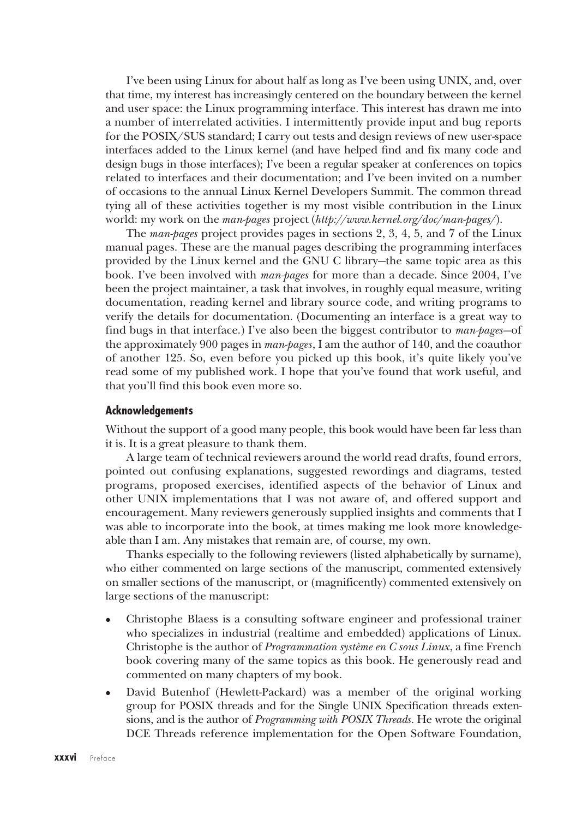I've been using Linux for about half as long as I've been using UNIX, and, over that time, my interest has increasingly centered on the boundary between the kernel and user space: the Linux programming interface. This interest has drawn me into a number of interrelated activities. I intermittently provide input and bug reports for the POSIX/SUS standard; I carry out tests and design reviews of new user-space interfaces added to the Linux kernel (and have helped find and fix many code and design bugs in those interfaces); I've been a regular speaker at conferences on topics related to interfaces and their documentation; and I've been invited on a number of occasions to the annual Linux Kernel Developers Summit. The common thread tying all of these activities together is my most visible contribution in the Linux world: my work on the man-pages project (http://www.kernel.org/doc/man-pages/).

The man-pages project provides pages in sections 2, 3, 4, 5, and 7 of the Linux manual pages. These are the manual pages describing the programming interfaces provided by the Linux kernel and the GNU C library—the same topic area as this book. I've been involved with man-pages for more than a decade. Since 2004, I've been the project maintainer, a task that involves, in roughly equal measure, writing documentation, reading kernel and library source code, and writing programs to verify the details for documentation. (Documenting an interface is a great way to find bugs in that interface.) I've also been the biggest contributor to man-pages—of the approximately 900 pages in man-pages, I am the author of 140, and the coauthor of another 125. So, even before you picked up this book, it's quite likely you've read some of my published work. I hope that you've found that work useful, and that you'll find this book even more so.

### **Acknowledgements**

Without the support of a good many people, this book would have been far less than it is. It is a great pleasure to thank them.

A large team of technical reviewers around the world read drafts, found errors, pointed out confusing explanations, suggested rewordings and diagrams, tested programs, proposed exercises, identified aspects of the behavior of Linux and other UNIX implementations that I was not aware of, and offered support and encouragement. Many reviewers generously supplied insights and comments that I was able to incorporate into the book, at times making me look more knowledgeable than I am. Any mistakes that remain are, of course, my own.

Thanks especially to the following reviewers (listed alphabetically by surname), who either commented on large sections of the manuscript, commented extensively on smaller sections of the manuscript, or (magnificently) commented extensively on large sections of the manuscript:

- $\bullet$  Christophe Blaess is a consulting software engineer and professional trainer who specializes in industrial (realtime and embedded) applications of Linux. Christophe is the author of Programmation système en C sous Linux, a fine French book covering many of the same topics as this book. He generously read and commented on many chapters of my book.
- - David Butenhof (Hewlett-Packard) was a member of the original working group for POSIX threads and for the Single UNIX Specification threads extensions, and is the author of *Programming with POSIX Threads*. He wrote the original DCE Threads reference implementation for the Open Software Foundation,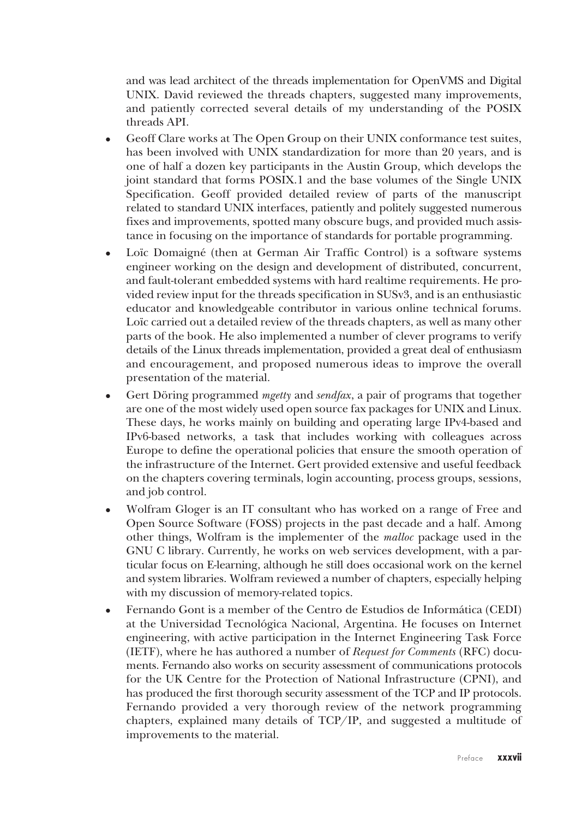and was lead architect of the threads implementation for OpenVMS and Digital UNIX. David reviewed the threads chapters, suggested many improvements, and patiently corrected several details of my understanding of the POSIX threads API.

- $\bullet$  Geoff Clare works at The Open Group on their UNIX conformance test suites, has been involved with UNIX standardization for more than 20 years, and is one of half a dozen key participants in the Austin Group, which develops the joint standard that forms POSIX.1 and the base volumes of the Single UNIX Specification. Geoff provided detailed review of parts of the manuscript related to standard UNIX interfaces, patiently and politely suggested numerous fixes and improvements, spotted many obscure bugs, and provided much assistance in focusing on the importance of standards for portable programming.
- $\bullet$  Loïc Domaigné (then at German Air Traffic Control) is a software systems engineer working on the design and development of distributed, concurrent, and fault-tolerant embedded systems with hard realtime requirements. He provided review input for the threads specification in SUSv3, and is an enthusiastic educator and knowledgeable contributor in various online technical forums. Loïc carried out a detailed review of the threads chapters, as well as many other parts of the book. He also implemented a number of clever programs to verify details of the Linux threads implementation, provided a great deal of enthusiasm and encouragement, and proposed numerous ideas to improve the overall presentation of the material.
- $\bullet$  Gert Döring programmed mgetty and sendfax, a pair of programs that together are one of the most widely used open source fax packages for UNIX and Linux. These days, he works mainly on building and operating large IPv4-based and IPv6-based networks, a task that includes working with colleagues across Europe to define the operational policies that ensure the smooth operation of the infrastructure of the Internet. Gert provided extensive and useful feedback on the chapters covering terminals, login accounting, process groups, sessions, and job control.
- $\bullet$  Wolfram Gloger is an IT consultant who has worked on a range of Free and Open Source Software (FOSS) projects in the past decade and a half. Among other things, Wolfram is the implementer of the malloc package used in the GNU C library. Currently, he works on web services development, with a particular focus on E-learning, although he still does occasional work on the kernel and system libraries. Wolfram reviewed a number of chapters, especially helping with my discussion of memory-related topics.
- $\bullet$  Fernando Gont is a member of the Centro de Estudios de Informática (CEDI) at the Universidad Tecnológica Nacional, Argentina. He focuses on Internet engineering, with active participation in the Internet Engineering Task Force (IETF), where he has authored a number of Request for Comments (RFC) documents. Fernando also works on security assessment of communications protocols for the UK Centre for the Protection of National Infrastructure (CPNI), and has produced the first thorough security assessment of the TCP and IP protocols. Fernando provided a very thorough review of the network programming chapters, explained many details of TCP/IP, and suggested a multitude of improvements to the material.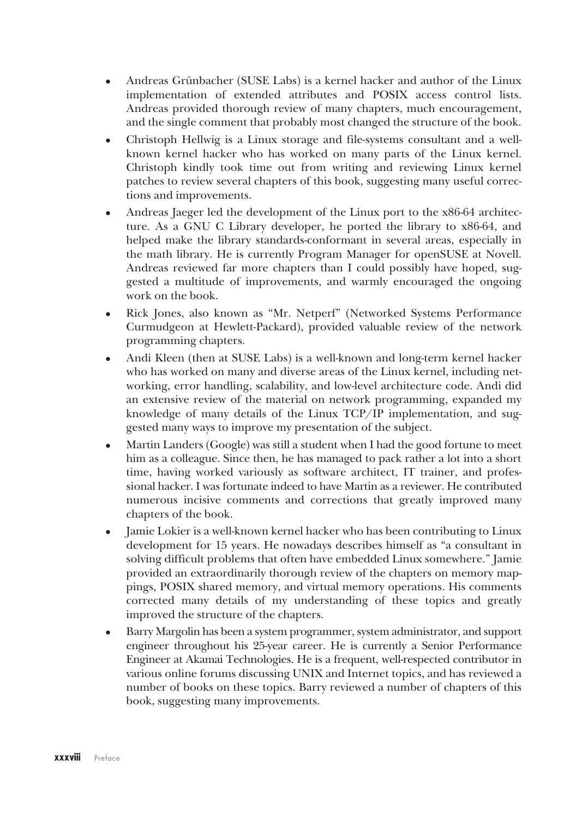- $\bullet$  Andreas Grünbacher (SUSE Labs) is a kernel hacker and author of the Linux implementation of extended attributes and POSIX access control lists. Andreas provided thorough review of many chapters, much encouragement, and the single comment that probably most changed the structure of the book.
- $\bullet$  Christoph Hellwig is a Linux storage and file-systems consultant and a wellknown kernel hacker who has worked on many parts of the Linux kernel. Christoph kindly took time out from writing and reviewing Linux kernel patches to review several chapters of this book, suggesting many useful corrections and improvements.
- $\bullet$  Andreas Jaeger led the development of the Linux port to the x86-64 architecture. As a GNU C Library developer, he ported the library to x86-64, and helped make the library standards-conformant in several areas, especially in the math library. He is currently Program Manager for openSUSE at Novell. Andreas reviewed far more chapters than I could possibly have hoped, suggested a multitude of improvements, and warmly encouraged the ongoing work on the book.
- $\bullet$  Rick Jones, also known as "Mr. Netperf" (Networked Systems Performance Curmudgeon at Hewlett-Packard), provided valuable review of the network programming chapters.
- $\bullet$  Andi Kleen (then at SUSE Labs) is a well-known and long-term kernel hacker who has worked on many and diverse areas of the Linux kernel, including networking, error handling, scalability, and low-level architecture code. Andi did an extensive review of the material on network programming, expanded my knowledge of many details of the Linux TCP/IP implementation, and suggested many ways to improve my presentation of the subject.
- $\bullet$  Martin Landers (Google) was still a student when I had the good fortune to meet him as a colleague. Since then, he has managed to pack rather a lot into a short time, having worked variously as software architect, IT trainer, and professional hacker. I was fortunate indeed to have Martin as a reviewer. He contributed numerous incisive comments and corrections that greatly improved many chapters of the book.
- $\bullet$  Jamie Lokier is a well-known kernel hacker who has been contributing to Linux development for 15 years. He nowadays describes himself as "a consultant in solving difficult problems that often have embedded Linux somewhere." Jamie provided an extraordinarily thorough review of the chapters on memory mappings, POSIX shared memory, and virtual memory operations. His comments corrected many details of my understanding of these topics and greatly improved the structure of the chapters.
- $\bullet$  Barry Margolin has been a system programmer, system administrator, and support engineer throughout his 25-year career. He is currently a Senior Performance Engineer at Akamai Technologies. He is a frequent, well-respected contributor in various online forums discussing UNIX and Internet topics, and has reviewed a number of books on these topics. Barry reviewed a number of chapters of this book, suggesting many improvements.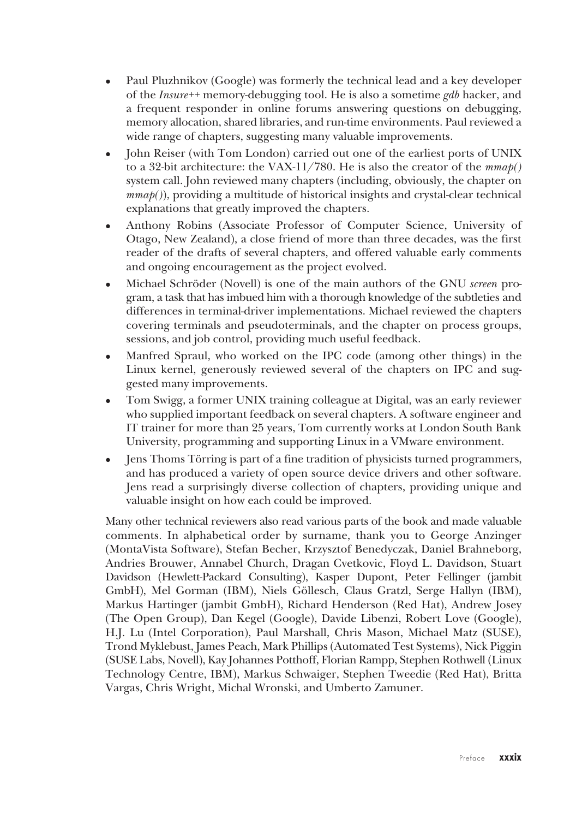- $\bullet$  Paul Pluzhnikov (Google) was formerly the technical lead and a key developer of the Insure++ memory-debugging tool. He is also a sometime gdb hacker, and a frequent responder in online forums answering questions on debugging, memory allocation, shared libraries, and run-time environments. Paul reviewed a wide range of chapters, suggesting many valuable improvements.
- $\bullet$  John Reiser (with Tom London) carried out one of the earliest ports of UNIX to a 32-bit architecture: the VAX-11/780. He is also the creator of the  $mmap()$ system call. John reviewed many chapters (including, obviously, the chapter on  $mmap(),$  providing a multitude of historical insights and crystal-clear technical explanations that greatly improved the chapters.
- $\bullet$  Anthony Robins (Associate Professor of Computer Science, University of Otago, New Zealand), a close friend of more than three decades, was the first reader of the drafts of several chapters, and offered valuable early comments and ongoing encouragement as the project evolved.
- $\bullet$  Michael Schröder (Novell) is one of the main authors of the GNU screen program, a task that has imbued him with a thorough knowledge of the subtleties and differences in terminal-driver implementations. Michael reviewed the chapters covering terminals and pseudoterminals, and the chapter on process groups, sessions, and job control, providing much useful feedback.
- $\bullet$  Manfred Spraul, who worked on the IPC code (among other things) in the Linux kernel, generously reviewed several of the chapters on IPC and suggested many improvements.
- $\bullet$  Tom Swigg, a former UNIX training colleague at Digital, was an early reviewer who supplied important feedback on several chapters. A software engineer and IT trainer for more than 25 years, Tom currently works at London South Bank University, programming and supporting Linux in a VMware environment.
- $\bullet$  Jens Thoms Törring is part of a fine tradition of physicists turned programmers, and has produced a variety of open source device drivers and other software. Jens read a surprisingly diverse collection of chapters, providing unique and valuable insight on how each could be improved.

Many other technical reviewers also read various parts of the book and made valuable comments. In alphabetical order by surname, thank you to George Anzinger (MontaVista Software), Stefan Becher, Krzysztof Benedyczak, Daniel Brahneborg, Andries Brouwer, Annabel Church, Dragan Cvetkovic, Floyd L. Davidson, Stuart Davidson (Hewlett-Packard Consulting), Kasper Dupont, Peter Fellinger (jambit GmbH), Mel Gorman (IBM), Niels Göllesch, Claus Gratzl, Serge Hallyn (IBM), Markus Hartinger (jambit GmbH), Richard Henderson (Red Hat), Andrew Josey (The Open Group), Dan Kegel (Google), Davide Libenzi, Robert Love (Google), H.J. Lu (Intel Corporation), Paul Marshall, Chris Mason, Michael Matz (SUSE), Trond Myklebust, James Peach, Mark Phillips (Automated Test Systems), Nick Piggin (SUSE Labs, Novell), Kay Johannes Potthoff, Florian Rampp, Stephen Rothwell (Linux Technology Centre, IBM), Markus Schwaiger, Stephen Tweedie (Red Hat), Britta Vargas, Chris Wright, Michal Wronski, and Umberto Zamuner.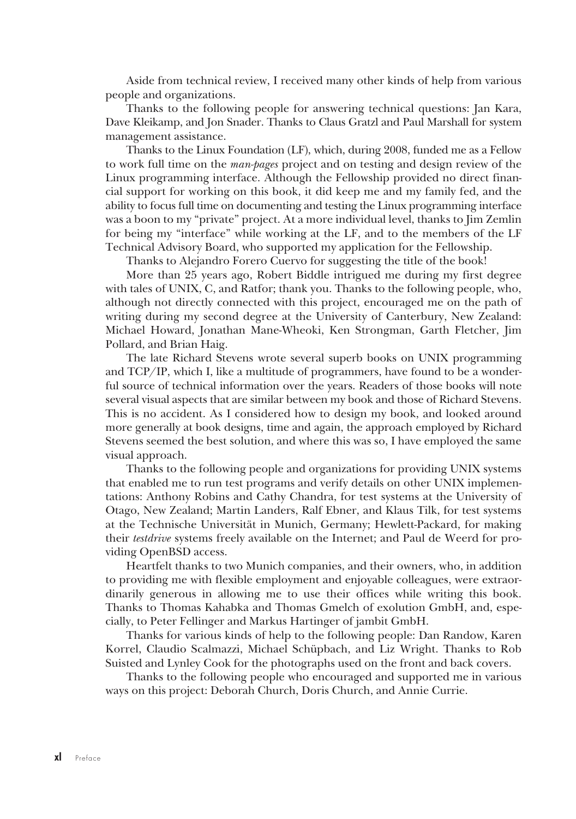Aside from technical review, I received many other kinds of help from various people and organizations.

Thanks to the following people for answering technical questions: Jan Kara, Dave Kleikamp, and Jon Snader. Thanks to Claus Gratzl and Paul Marshall for system management assistance.

Thanks to the Linux Foundation (LF), which, during 2008, funded me as a Fellow to work full time on the man-pages project and on testing and design review of the Linux programming interface. Although the Fellowship provided no direct financial support for working on this book, it did keep me and my family fed, and the ability to focus full time on documenting and testing the Linux programming interface was a boon to my "private" project. At a more individual level, thanks to Jim Zemlin for being my "interface" while working at the LF, and to the members of the LF Technical Advisory Board, who supported my application for the Fellowship.

Thanks to Alejandro Forero Cuervo for suggesting the title of the book!

More than 25 years ago, Robert Biddle intrigued me during my first degree with tales of UNIX, C, and Ratfor; thank you. Thanks to the following people, who, although not directly connected with this project, encouraged me on the path of writing during my second degree at the University of Canterbury, New Zealand: Michael Howard, Jonathan Mane-Wheoki, Ken Strongman, Garth Fletcher, Jim Pollard, and Brian Haig.

The late Richard Stevens wrote several superb books on UNIX programming and TCP/IP, which I, like a multitude of programmers, have found to be a wonderful source of technical information over the years. Readers of those books will note several visual aspects that are similar between my book and those of Richard Stevens. This is no accident. As I considered how to design my book, and looked around more generally at book designs, time and again, the approach employed by Richard Stevens seemed the best solution, and where this was so, I have employed the same visual approach.

Thanks to the following people and organizations for providing UNIX systems that enabled me to run test programs and verify details on other UNIX implementations: Anthony Robins and Cathy Chandra, for test systems at the University of Otago, New Zealand; Martin Landers, Ralf Ebner, and Klaus Tilk, for test systems at the Technische Universität in Munich, Germany; Hewlett-Packard, for making their testdrive systems freely available on the Internet; and Paul de Weerd for providing OpenBSD access.

Heartfelt thanks to two Munich companies, and their owners, who, in addition to providing me with flexible employment and enjoyable colleagues, were extraordinarily generous in allowing me to use their offices while writing this book. Thanks to Thomas Kahabka and Thomas Gmelch of exolution GmbH, and, especially, to Peter Fellinger and Markus Hartinger of jambit GmbH.

Thanks for various kinds of help to the following people: Dan Randow, Karen Korrel, Claudio Scalmazzi, Michael Schüpbach, and Liz Wright. Thanks to Rob Suisted and Lynley Cook for the photographs used on the front and back covers.

Thanks to the following people who encouraged and supported me in various ways on this project: Deborah Church, Doris Church, and Annie Currie.